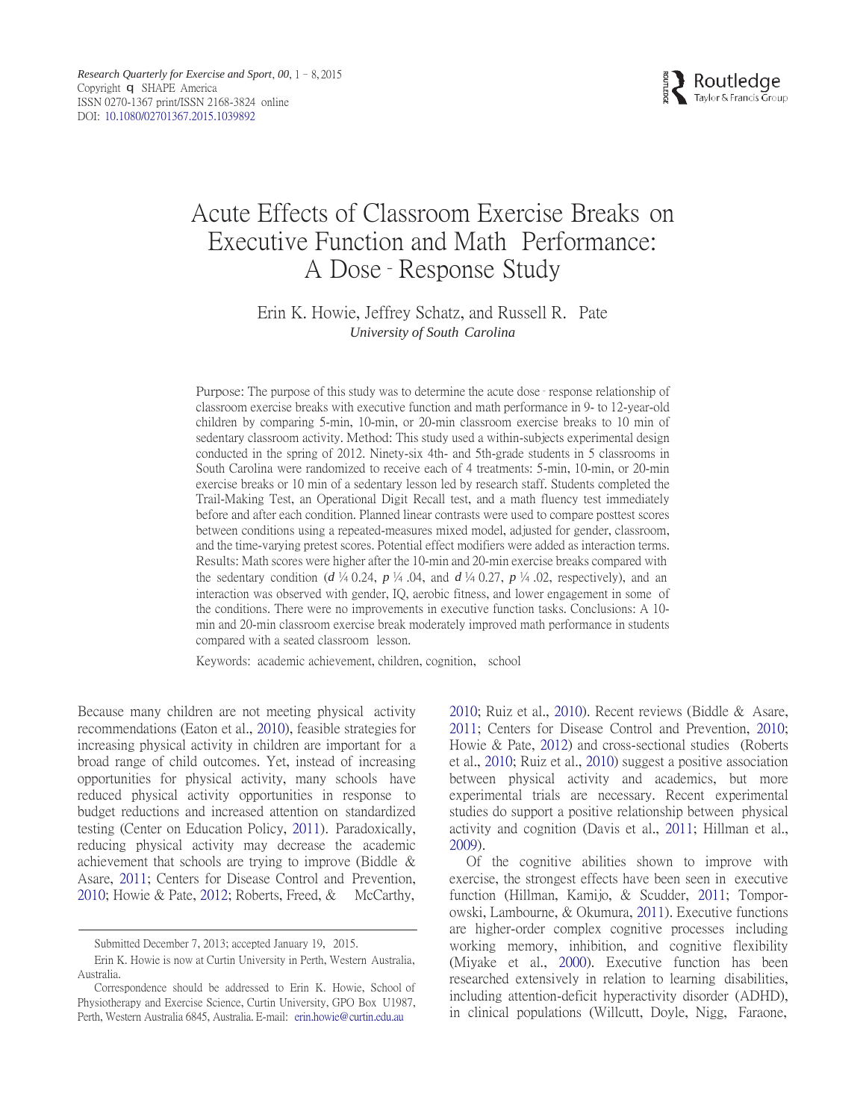

# Acute Effects of Classroom Exercise Breaks on Executive Function and Math Performance: A Dose– Response Study

# Erin K. Howie, Jeffrey Schatz, and Russell R. Pate *University of South Carolina*

Purpose: The purpose of this study was to determine the acute dose– response relationship of classroom exercise breaks with executive function and math performance in 9- to 12-year-old children by comparing 5-min, 10-min, or 20-min classroom exercise breaks to 10 min of sedentary classroom activity. Method: This study used a within-subjects experimental design conducted in the spring of 2012. Ninety-six 4th- and 5th-grade students in 5 classrooms in South Carolina were randomized to receive each of 4 treatments: 5-min, 10-min, or 20-min exercise breaks or 10 min of a sedentary lesson led by research staff. Students completed the Trail-Making Test, an Operational Digit Recall test, and a math fluency test immediately before and after each condition. Planned linear contrasts were used to compare posttest scores between conditions using a repeated-measures mixed model, adjusted for gender, classroom, and the time-varying pretest scores. Potential effect modifiers were added as interaction terms. Results: Math scores were higher after the 10-min and 20-min exercise breaks compared with the sedentary condition ( $d \not\vdash 0.24$ ,  $p \not\vdash 0.04$ , and  $d \not\vdash 0.27$ ,  $p \not\vdash 0.02$ , respectively), and an interaction was observed with gender, IQ, aerobic fitness, and lower engagement in some of the conditions. There were no improvements in executive function tasks. Conclusions: A 10 min and 20-min classroom exercise break moderately improved math performance in students compared with a seated classroom lesson.

Keywords: academic achievement, children, cognition, school

Because many children are not meeting physical activity recommendations (Eaton et al., [2010\)](#page-7-0), feasible strategies for increasing physical activity in children are important for a broad range of child outcomes. Yet, instead of increasing opportunities for physical activity, many schools have reduced physical activity opportunities in response to budget reductions and increased attention on standardized testing (Center on Education Policy, [2011\)](#page-6-0). Paradoxically, reducing physical activity may decrease the academic achievement that schools are trying to improve (Biddle & Asare, [2011;](#page-6-1) Centers for Disease Control and Prevention, [2010;](#page-6-2) Howie & Pate, [2012;](#page-7-1) Roberts, Freed, & McCarthy,

[2010;](#page-7-2) Ruiz et al., [2010\)](#page-7-3). Recent reviews (Biddle & Asare, [2011;](#page-6-1) Centers for Disease Control and Prevention, [2010;](#page-6-2) Howie & Pate, [2012\)](#page-7-1) and cross-sectional studies (Roberts et al., [2010;](#page-7-2) Ruiz et al., [2010\)](#page-7-3) suggest a positive association between physical activity and academics, but more experimental trials are necessary. Recent experimental studies do support a positive relationship between physical activity and cognition (Davis et al., [2011;](#page-6-3) Hillman et al., [2009\)](#page-7-4).

Of the cognitive abilities shown to improve with exercise, the strongest effects have been seen in executive function (Hillman, Kamijo, & Scudder, [2011;](#page-7-5) Tomporowski, Lambourne, & Okumura, [2011\)](#page-7-6). Executive functions are higher-order complex cognitive processes including working memory, inhibition, and cognitive flexibility (Miyake et al., [2000\)](#page-7-7). Executive function has been researched extensively in relation to learning disabilities, including attention-deficit hyperactivity disorder (ADHD), in clinical populations (Willcutt, Doyle, Nigg, Faraone,

Submitted December 7, 2013; accepted January 19, 2015.

Erin K. Howie is now at Curtin University in Perth, Western Australia, Australia.

Correspondence should be addressed to Erin K. Howie, School of Physiotherapy and Exercise Science, Curtin University, GPO Box U1987, Perth, Western Australia 6845, Australia. E-mail: [erin.howie@curtin.edu.au](mailto:erin.howie@curtin.edu.au)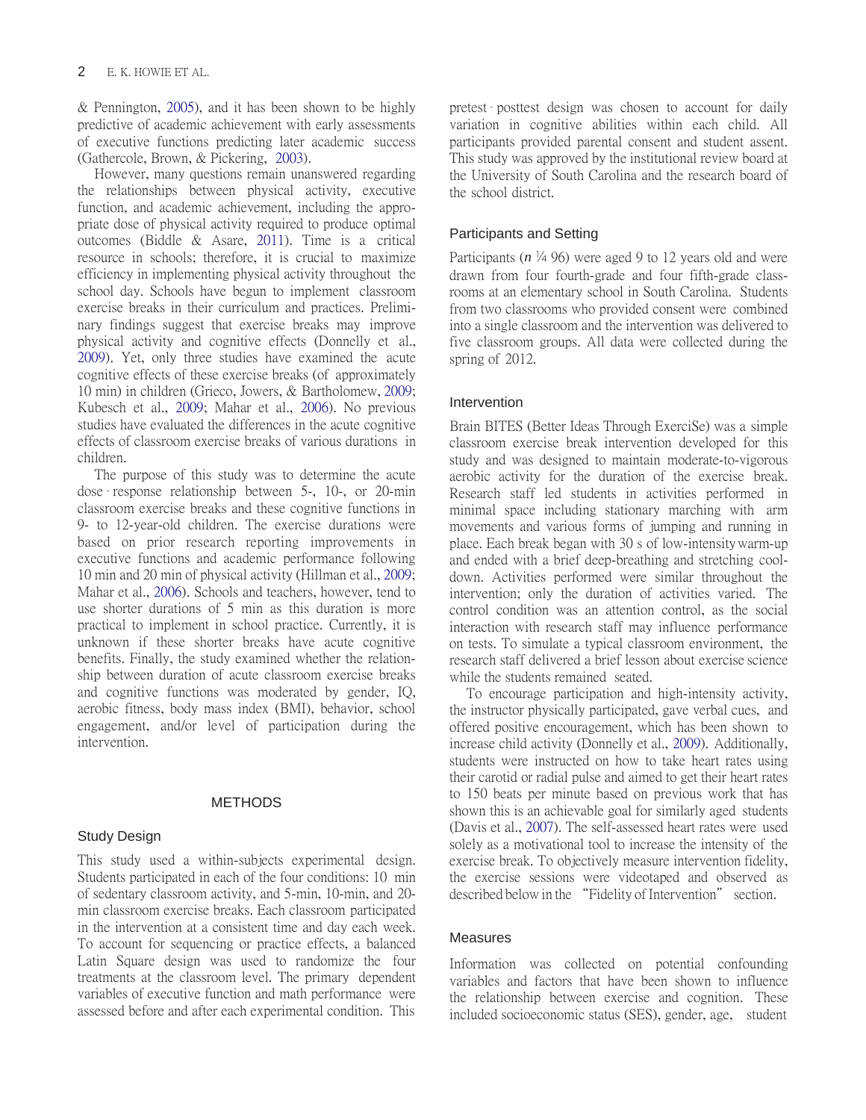& Pennington, [2005\)](#page-7-8), and it has been shown to be highly predictive of academic achievement with early assessments of executive functions predicting later academic success (Gathercole, Brown, & Pickering, [2003\)](#page-7-9).

However, many questions remain unanswered regarding the relationships between physical activity, executive function, and academic achievement, including the appropriate dose of physical activity required to produce optimal outcomes (Biddle & Asare, [2011\)](#page-6-1). Time is a critical resource in schools; therefore, it is crucial to maximize efficiency in implementing physical activity throughout the school day. Schools have begun to implement classroom exercise breaks in their curriculum and practices. Preliminary findings suggest that exercise breaks may improve physical activity and cognitive effects (Donnelly et al., [2009\)](#page-6-4). Yet, only three studies have examined the acute cognitive effects of these exercise breaks (of approximately 10 min) in children (Grieco, Jowers, & Bartholomew[, 2009;](#page-7-10) Kubesch et al., [2009;](#page-7-11) Mahar et al., [2006\)](#page-7-12). No previous studies have evaluated the differences in the acute cognitive effects of classroom exercise breaks of various durations in children.

The purpose of this study was to determine the acute dose– response relationship between 5-, 10-, or 20-min classroom exercise breaks and these cognitive functions in 9- to 12-year-old children. The exercise durations were based on prior research reporting improvements in executive functions and academic performance following 10 min and 20 min of physical activity (Hillman et al., [2009;](#page-7-4) Mahar et al., [2006\)](#page-7-12). Schools and teachers, however, tend to use shorter durations of 5 min as this duration is more practical to implement in school practice. Currently, it is unknown if these shorter breaks have acute cognitive benefits. Finally, the study examined whether the relationship between duration of acute classroom exercise breaks and cognitive functions was moderated by gender, IQ, aerobic fitness, body mass index (BMI), behavior, school engagement, and/or level of participation during the intervention.

## METHODS

## Study Design

This study used a within-subjects experimental design. Students participated in each of the four conditions: 10 min of sedentary classroom activity, and 5-min, 10-min, and 20 min classroom exercise breaks. Each classroom participated in the intervention at a consistent time and day each week. To account for sequencing or practice effects, a balanced Latin Square design was used to randomize the four treatments at the classroom level. The primary dependent variables of executive function and math performance were assessed before and after each experimental condition. This

pretest– posttest design was chosen to account for daily variation in cognitive abilities within each child. All participants provided parental consent and student assent. This study was approved by the institutional review board at the University of South Carolina and the research board of the school district.

# Participants and Setting

Participants ( $n \frac{1}{4}$  96) were aged 9 to 12 years old and were drawn from four fourth-grade and four fifth-grade classrooms at an elementary school in South Carolina. Students from two classrooms who provided consent were combined into a single classroom and the intervention was delivered to five classroom groups. All data were collected during the spring of 2012.

## Intervention

Brain BITES (Better Ideas Through ExerciSe) was a simple classroom exercise break intervention developed for this study and was designed to maintain moderate-to-vigorous aerobic activity for the duration of the exercise break. Research staff led students in activities performed in minimal space including stationary marching with arm movements and various forms of jumping and running in place. Each break began with 30 s of low-intensity warm-up and ended with a brief deep-breathing and stretching cooldown. Activities performed were similar throughout the intervention; only the duration of activities varied. The control condition was an attention control, as the social interaction with research staff may influence performance on tests. To simulate a typical classroom environment, the research staff delivered a brief lesson about exercise science while the students remained seated.

To encourage participation and high-intensity activity, the instructor physically participated, gave verbal cues, and offered positive encouragement, which has been shown to increase child activity (Donnelly et al., [2009\)](#page-6-4). Additionally, students were instructed on how to take heart rates using their carotid or radial pulse and aimed to get their heart rates to 150 beats per minute based on previous work that has shown this is an achievable goal for similarly aged students (Davis et al., [2007\)](#page-6-5). The self-assessed heart rates were used solely as a motivational tool to increase the intensity of the exercise break. To objectively measure intervention fidelity, the exercise sessions were videotaped and observed as described below in the "Fidelity of Intervention" section.

## Measures

Information was collected on potential confounding variables and factors that have been shown to influence the relationship between exercise and cognition. These included socioeconomic status (SES), gender, age, student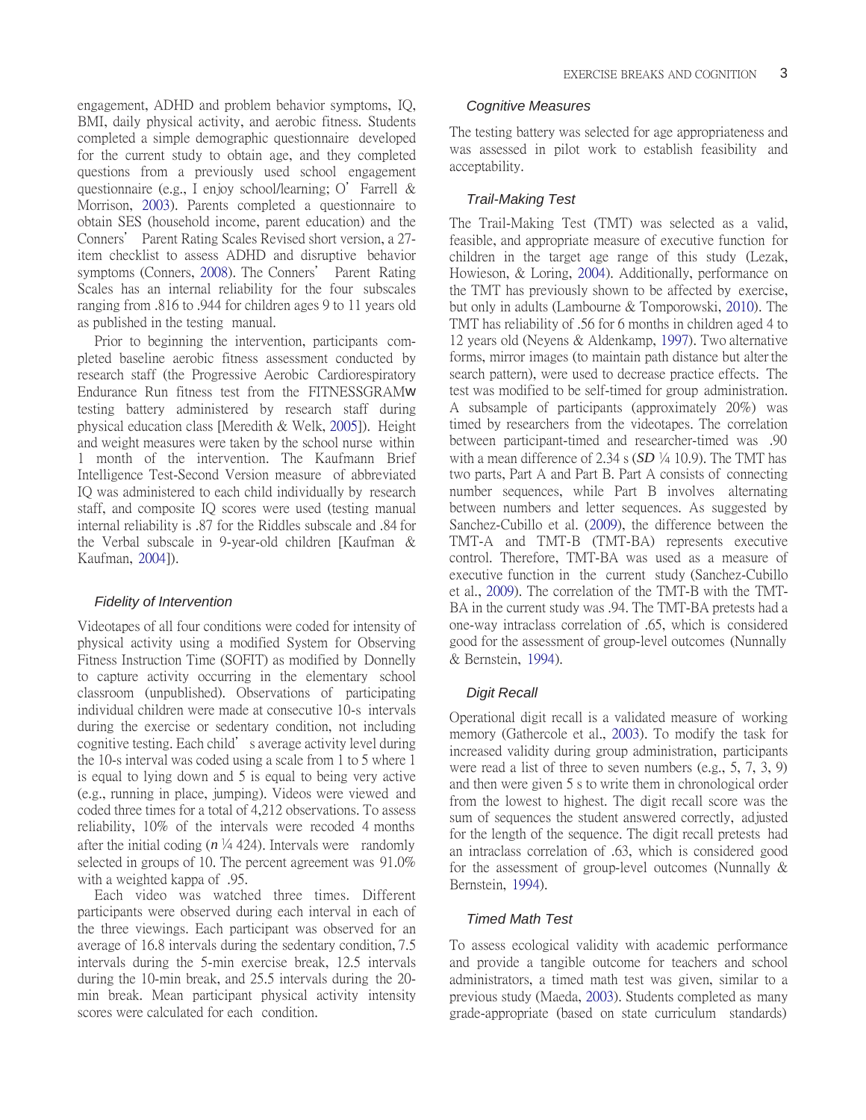engagement, ADHD and problem behavior symptoms, IQ, BMI, daily physical activity, and aerobic fitness. Students completed a simple demographic questionnaire developed for the current study to obtain age, and they completed questions from a previously used school engagement questionnaire (e.g., I enjoy school/learning; O' Farrell & Morrison, [2003\)](#page-7-13). Parents completed a questionnaire to obtain SES (household income, parent education) and the Conners' Parent Rating Scales Revised short version, a 27 item checklist to assess ADHD and disruptive behavior symptoms (Conners, [2008](#page-6-6)). The Conners' Parent Rating Scales has an internal reliability for the four subscales ranging from .816 to .944 for children ages 9 to 11 years old as published in the testing manual.

Prior to beginning the intervention, participants completed baseline aerobic fitness assessment conducted by research staff (the Progressive Aerobic Cardiorespiratory Endurance Run fitness test from the FITNESSGRAMw testing battery administered by research staff during physical education class [Meredith & Welk, [2005\]](#page-7-14)). Height and weight measures were taken by the school nurse within 1 month of the intervention. The Kaufmann Brief Intelligence Test-Second Version measure of abbreviated IQ was administered to each child individually by research staff, and composite IQ scores were used (testing manual internal reliability is .87 for the Riddles subscale and .84 for the Verbal subscale in 9-year-old children [Kaufman & Kaufman, [2004\]](#page-7-15)).

#### *Fidelity of Intervention*

Videotapes of all four conditions were coded for intensity of physical activity using a modified System for Observing Fitness Instruction Time (SOFIT) as modified by Donnelly to capture activity occurring in the elementary school classroom (unpublished). Observations of participating individual children were made at consecutive 10-s intervals during the exercise or sedentary condition, not including cognitive testing. Each child's average activity level during the 10-s interval was coded using a scale from 1 to 5 where 1 is equal to lying down and 5 is equal to being very active (e.g., running in place, jumping). Videos were viewed and coded three times for a total of 4,212 observations. To assess reliability, 10% of the intervals were recoded 4 months after the initial coding  $(n \frac{1}{4}424)$ . Intervals were randomly selected in groups of 10. The percent agreement was 91.0% with a weighted kappa of .95.

Each video was watched three times. Different participants were observed during each interval in each of the three viewings. Each participant was observed for an average of 16.8 intervals during the sedentary condition, 7.5 intervals during the 5-min exercise break, 12.5 intervals during the 10-min break, and 25.5 intervals during the 20 min break. Mean participant physical activity intensity scores were calculated for each condition.

## *Cognitive Measures*

The testing battery was selected for age appropriateness and was assessed in pilot work to establish feasibility and acceptability.

## *Trail-Making Test*

The Trail-Making Test (TMT) was selected as a valid, feasible, and appropriate measure of executive function for children in the target age range of this study (Lezak, Howieson, & Loring, [2004\)](#page-7-16). Additionally, performance on the TMT has previously shown to be affected by exercise, but only in adults (Lambourne & Tomporowski, [2010\)](#page-7-17). The TMT has reliability of .56 for 6 months in children aged 4 to 12 years old (Neyens & Aldenkamp, [1997\)](#page-7-18). Two alternative forms, mirror images (to maintain path distance but alter the search pattern), were used to decrease practice effects. The test was modified to be self-timed for group administration. A subsample of participants (approximately 20%) was timed by researchers from the videotapes. The correlation between participant-timed and researcher-timed was .90 with a mean difference of 2.34 s  $(SD \nmid 4 10.9)$ . The TMT has two parts, Part A and Part B. Part A consists of connecting number sequences, while Part B involves alternating between numbers and letter sequences. As suggested by Sanchez-Cubillo et al. [\(2009\)](#page-7-19), the difference between the TMT-A and TMT-B (TMT-BA) represents executive control. Therefore, TMT-BA was used as a measure of executive function in the current study (Sanchez-Cubillo et al., [2009\)](#page-7-19). The correlation of the TMT-B with the TMT-BA in the current study was .94. The TMT-BA pretests had a one-way intraclass correlation of .65, which is considered good for the assessment of group-level outcomes (Nunnally & Bernstein, [1994\)](#page-7-20).

#### *Digit Recall*

Operational digit recall is a validated measure of working memory (Gathercole et al., [2003\)](#page-7-9). To modify the task for increased validity during group administration, participants were read a list of three to seven numbers (e.g., 5, 7, 3, 9) and then were given 5 s to write them in chronological order from the lowest to highest. The digit recall score was the sum of sequences the student answered correctly, adjusted for the length of the sequence. The digit recall pretests had an intraclass correlation of .63, which is considered good for the assessment of group-level outcomes (Nunnally & Bernstein, [1994\)](#page-7-20).

# *Timed Math Test*

To assess ecological validity with academic performance and provide a tangible outcome for teachers and school administrators, a timed math test was given, similar to a previous study (Maeda, [2003\)](#page-7-21). Students completed as many grade-appropriate (based on state curriculum standards)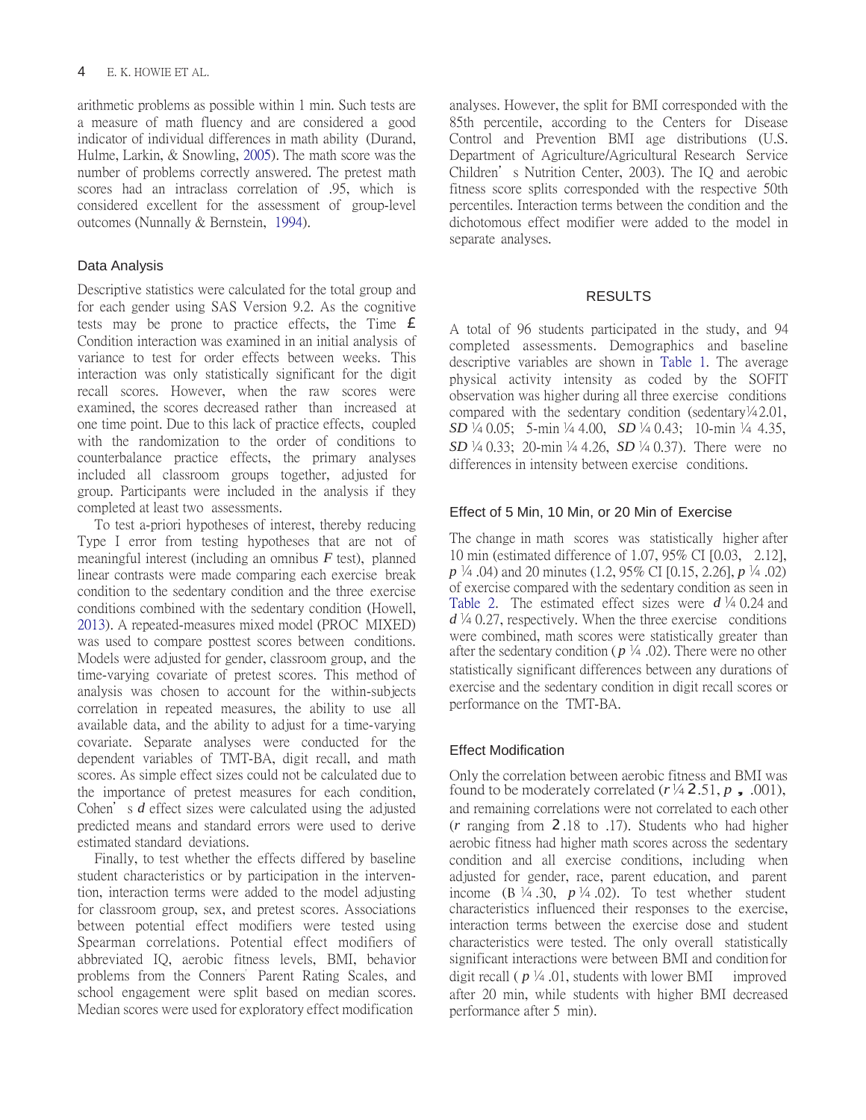arithmetic problems as possible within 1 min. Such tests are a measure of math fluency and are considered a good indicator of individual differences in math ability (Durand, Hulme, Larkin, & Snowling, [2005\)](#page-7-22). The math score was the number of problems correctly answered. The pretest math scores had an intraclass correlation of .95, which is considered excellent for the assessment of group-level outcomes (Nunnally & Bernstein, [1994\)](#page-7-20).

# Data Analysis

Descriptive statistics were calculated for the total group and for each gender using SAS Version 9.2. As the cognitive tests may be prone to practice effects, the Time  $\epsilon$ Condition interaction was examined in an initial analysis of variance to test for order effects between weeks. This interaction was only statistically significant for the digit recall scores. However, when the raw scores were examined, the scores decreased rather than increased at one time point. Due to this lack of practice effects, coupled with the randomization to the order of conditions to counterbalance practice effects, the primary analyses included all classroom groups together, adjusted for group. Participants were included in the analysis if they completed at least two assessments.

To test a-priori hypotheses of interest, thereby reducing Type I error from testing hypotheses that are not of meaningful interest (including an omnibus *F* test), planned linear contrasts were made comparing each exercise break condition to the sedentary condition and the three exercise conditions combined with the sedentary condition (Howell, [2013\)](#page-7-23). A repeated-measures mixed model (PROC MIXED) was used to compare posttest scores between conditions. Models were adjusted for gender, classroom group, and the time-varying covariate of pretest scores. This method of analysis was chosen to account for the within-subjects correlation in repeated measures, the ability to use all available data, and the ability to adjust for a time-varying covariate. Separate analyses were conducted for the dependent variables of TMT-BA, digit recall, and math scores. As simple effect sizes could not be calculated due to the importance of pretest measures for each condition, Cohen's *d* effect sizes were calculated using the adjusted predicted means and standard errors were used to derive estimated standard deviations.

Finally, to test whether the effects differed by baseline student characteristics or by participation in the intervention, interaction terms were added to the model adjusting for classroom group, sex, and pretest scores. Associations between potential effect modifiers were tested using Spearman correlations. Potential effect modifiers of abbreviated IQ, aerobic fitness levels, BMI, behavior problems from the Conners' Parent Rating Scales, and school engagement were split based on median scores. Median scores were used for exploratory effect modification

analyses. However, the split for BMI corresponded with the 85th percentile, according to the Centers for Disease Control and Prevention BMI age distributions (U.S. Department of Agriculture/Agricultural Research Service Children's Nutrition Center, 2003). The IQ and aerobic fitness score splits corresponded with the respective 50th percentiles. Interaction terms between the condition and the dichotomous effect modifier were added to the model in separate analyses.

# RESULTS

A total of 96 students participated in the study, and 94 completed assessments. Demographics and baseline descriptive variables are shown in [Table 1.](#page-4-0) The average physical activity intensity as coded by the SOFIT observation was higher during all three exercise conditions compared with the sedentary condition (sedentary $\frac{1}{4}$ 2.01, *SD*  $\frac{1}{4}$  0.05; 5-min  $\frac{1}{4}$  4.00, *SD*  $\frac{1}{4}$  0.43; 10-min  $\frac{1}{4}$  4.35, *SD*  $\frac{1}{4}$  0.33; 20-min  $\frac{1}{4}$  4.26, *SD*  $\frac{1}{4}$  0.37). There were no differences in intensity between exercise conditions.

# Effect of 5 Min, 10 Min, or 20 Min of Exercise

The change in math scores was statistically higher after 10 min (estimated difference of 1.07, 95% CI [0.03, 2.12], *p* <sup>1</sup>/4 .04) and 20 minutes (1.2, 95% CI [0.15, 2.26], *p* <sup>1</sup>/4 .02) of exercise compared with the sedentary condition as seen in [Table 2.](#page-4-1) The estimated effect sizes were  $d\frac{1}{4}$  0.24 and  $d^{1/4}$  0.27, respectively. When the three exercise conditions were combined, math scores were statistically greater than after the sedentary condition ( $p \nmid 4$  .02). There were no other statistically significant differences between any durations of exercise and the sedentary condition in digit recall scores or performance on the TMT-BA.

# Effect Modification

Only the correlation between aerobic fitness and BMI was found to be moderately correlated  $(r\frac{1}{4} 2.51, p$ , .001), and remaining correlations were not correlated to each other (*r* ranging from 2 .18 to .17). Students who had higher aerobic fitness had higher math scores across the sedentary condition and all exercise conditions, including when adjusted for gender, race, parent education, and parent income ( $B\$  /4.30,  $p\$ /4.02). To test whether student characteristics influenced their responses to the exercise, interaction terms between the exercise dose and student characteristics were tested. The only overall statistically significant interactions were between BMI and condition for digit recall ( $p\frac{1}{4}$ .01, students with lower BMI improved after 20 min, while students with higher BMI decreased performance after 5 min).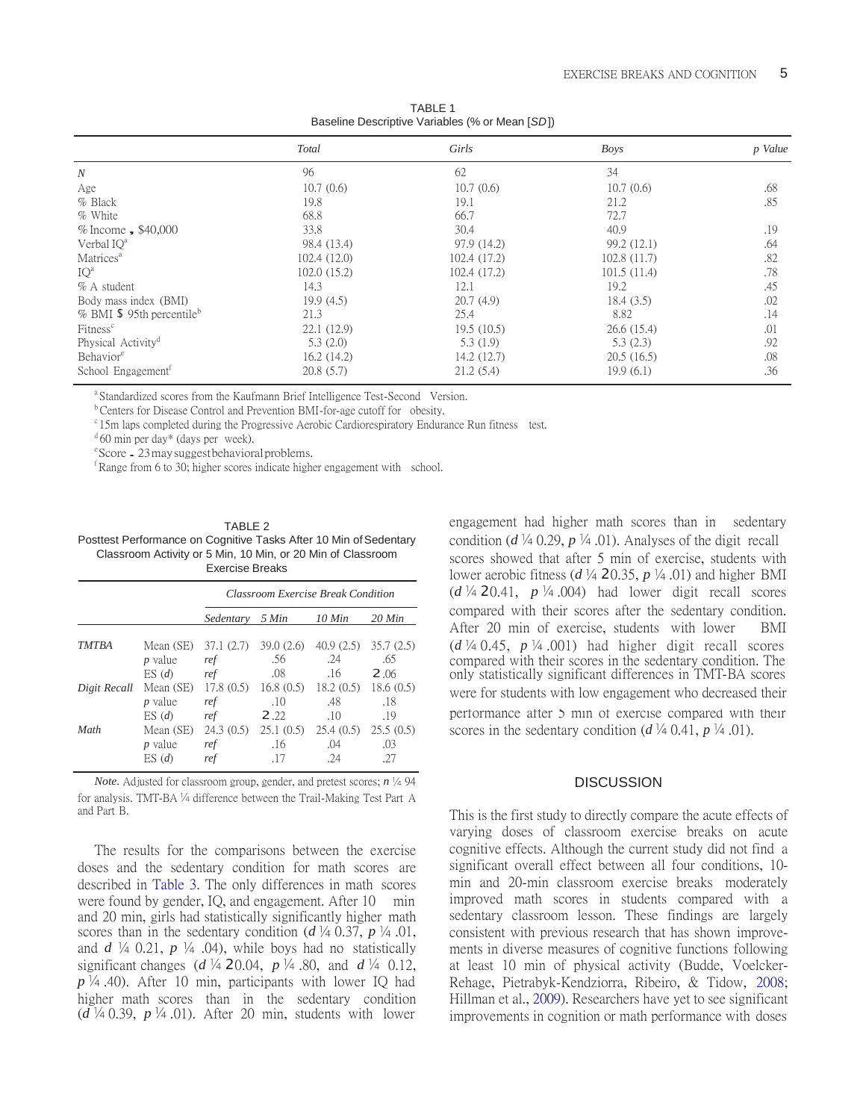<span id="page-4-0"></span>

| Total       | Girls        | Boys        | p Value |  |
|-------------|--------------|-------------|---------|--|
| 96          | 62           | 34          |         |  |
| 10.7(0.6)   | 10.7(0.6)    | 10.7(0.6)   | .68     |  |
| 19.8        | 19.1         | 21.2        | .85     |  |
| 68.8        | 66.7         | 72.7        |         |  |
| 33.8        | 30.4         | 40.9        | .19     |  |
| 98.4 (13.4) | 97.9 (14.2)  | 99.2 (12.1) | .64     |  |
| 102.4(12.0) | 102.4 (17.2) | 102.8(11.7) | .82     |  |
| 102.0(15.2) | 102.4 (17.2) | 101.5(11.4) | .78     |  |
| 14.3        | 12.1         | 19.2        | .45     |  |
| 19.9(4.5)   | 20.7(4.9)    | 18.4(3.5)   | .02     |  |
| 21.3        | 25.4         | 8.82        | .14     |  |
| 22.1(12.9)  | 19.5(10.5)   | 26.6(15.4)  | .01     |  |
| 5.3(2.0)    | 5.3(1.9)     | 5.3(2.3)    | .92     |  |
| 16.2(14.2)  | 14.2(12.7)   | 20.5(16.5)  | .08     |  |
| 20.8(5.7)   | 21.2(5.4)    | 19.9(6.1)   | .36     |  |
|             |              |             |         |  |

TABLE 1 Baseline Descriptive Variables (% or Mean [*SD*])

<sup>a</sup>Standardized scores from the Kaufmann Brief Intelligence Test-Second Version.

<sup>b</sup> Centers for Disease Control and Prevention BMI-for-age cutoff for obesity.

<sup>c</sup> 15m laps completed during the Progressive Aerobic Cardiorespiratory Endurance Run fitness test.

 $d$  60 min per day\* (days per week).

<sup>e</sup>Score . 23 may suggest behavioral problems.

 $f$ Range from 6 to 30; higher scores indicate higher engagement with school.

<span id="page-4-1"></span>

| TABLE 2                                                           |  |  |  |  |
|-------------------------------------------------------------------|--|--|--|--|
| Posttest Performance on Cognitive Tasks After 10 Min of Sedentary |  |  |  |  |
| Classroom Activity or 5 Min, 10 Min, or 20 Min of Classroom       |  |  |  |  |
| <b>Exercise Breaks</b>                                            |  |  |  |  |

|              |                                               | <b>Classroom Exercise Break Condition</b> |                                 |                                            |                                |
|--------------|-----------------------------------------------|-------------------------------------------|---------------------------------|--------------------------------------------|--------------------------------|
|              |                                               | Sedentary                                 | 5 Min                           | 10 Min                                     | $20$ Min                       |
| <b>TMTBA</b> | Mean (SE)<br><i>p</i> value<br>ES(d)          | 37.1 (2.7)<br>ref<br>ref                  | 39.0(2.6)<br>.56<br>.08         | 40.9(2.5)<br>.24<br>.16                    | 35.7(2.5)<br>.65<br>2,06       |
| Digit Recall | Mean (SE)<br>$p$ value                        | 17.8(0.5)<br>ref                          | .10                             | $16.8(0.5)$ $18.2(0.5)$ $18.6(0.5)$<br>.48 | .18                            |
| Math         | ES(d)<br>Mean (SE)<br><i>p</i> value<br>ES(d) | ref<br>24.3(0.5)<br>ref<br>ret            | 2.22<br>25.1(0.5)<br>.16<br>.17 | .10<br>25.4(0.5)<br>.04<br>.24             | .19<br>25.5(0.5)<br>.03<br>.27 |

*Note.* Adjusted for classroom group, gender, and pretest scores;  $n \frac{1}{4} 94$ for analysis. TMT-BA  $\frac{1}{4}$  difference between the Trail-Making Test Part A and Part B.

The results for the comparisons between the exercise doses and the sedentary condition for math scores are described in [Table 3.](#page-5-0) The only differences in math scores were found by gender, IQ, and engagement. After 10 min and 20 min, girls had statistically significantly higher math scores than in the sedentary condition ( $d \nmid 4$  0.37,  $p \nmid 4$  0.1, and  $d \nmid 4$  0.21,  $p \nmid 4$  0.4), while boys had no statistically significant changes ( $d^{1/4}$  20.04,  $p^{1/4}$  80, and  $d^{1/4}$  0.12, *p* .40). After 10 min, participants with lower IQ had higher math scores than in the sedentary condition  $(d\frac{1}{4}0.39, p\frac{1}{4}0.01)$ . After 20 min, students with lower

engagement had higher math scores than in sedentary condition ( $d \nmid 4$  0.29,  $p \nmid 4$  .01). Analyses of the digit recall scores showed that after 5 min of exercise, students with lower aerobic fitness ( $d \frac{1}{4}$  20.35,  $p \frac{1}{4}$  .01) and higher BMI  $(d \nmid 4$  20.41,  $p \nmid 4.004)$  had lower digit recall scores compared with their scores after the sedentary condition. After 20 min of exercise, students with lower BMI were for students with low engagement who decreased their  $(d \nmid 40.45, p \nmid 4.001)$  had higher digit recall scores compared with their scores in the sedentary condition. The only statistically significant differences in TMT-BA scores performance after 5 min of exercise compared with their *scores in the sedentary condition (<i>d*  $\frac{1}{4}$  0.41, *p*  $\frac{1}{4}$  .01).

## **DISCUSSION**

This is the first study to directly compare the acute effects of varying doses of classroom exercise breaks on acute cognitive effects. Although the current study did not find a significant overall effect between all four conditions, 10 min and 20-min classroom exercise breaks moderately improved math scores in students compared with a sedentary classroom lesson. These findings are largely consistent with previous research that has shown improvements in diverse measures of cognitive functions following at least 10 min of physical activity (Budde, Voelcker-Rehage, Pietrabyk-Kendziorra, Ribeiro, & Tidow, [2008;](#page-6-7) Hillman et al., [2009\)](#page-7-4). Researchers have yet to see significant improvements in cognition or math performance with doses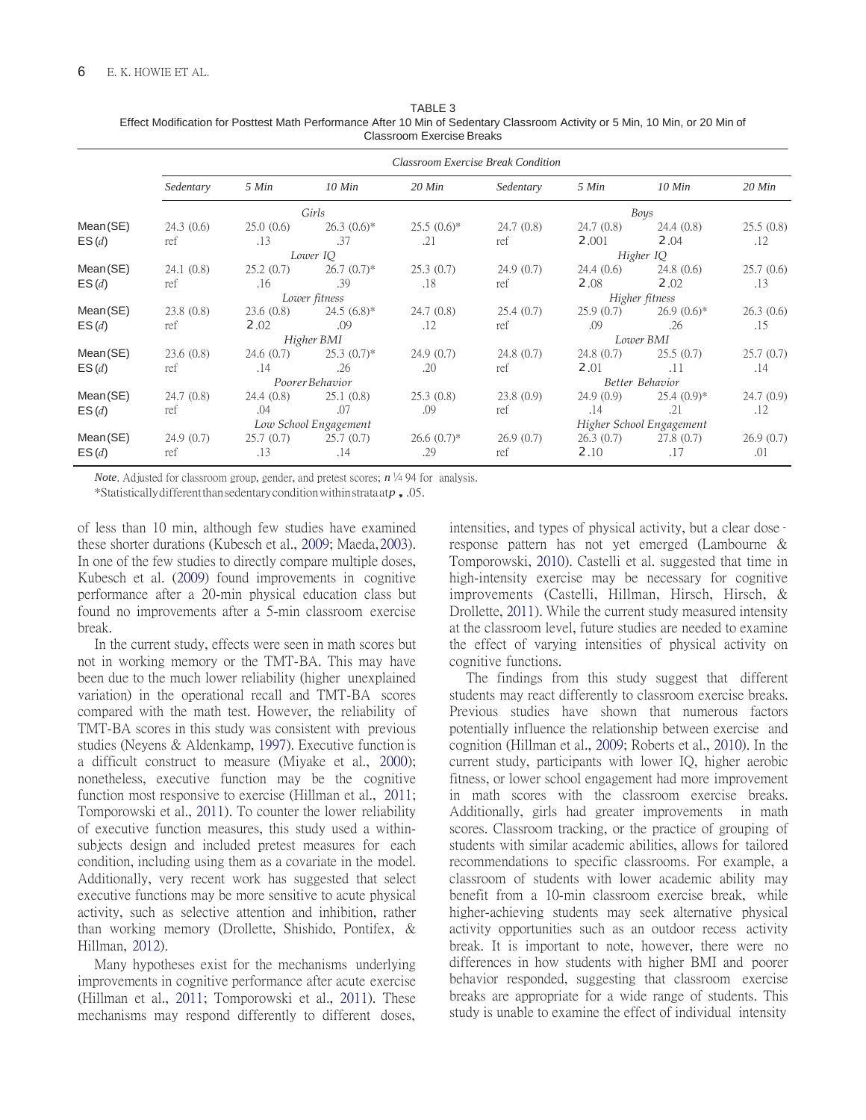| TABLE 3                                                                                                                       |
|-------------------------------------------------------------------------------------------------------------------------------|
| Effect Modification for Posttest Math Performance After 10 Min of Sedentary Classroom Activity or 5 Min, 10 Min, or 20 Min of |
| Classroom Exercise Breaks                                                                                                     |

<span id="page-5-0"></span>

|                   | <b>Classroom Exercise Break Condition</b> |                  |                     |                          |                  |                    |                   |                  |
|-------------------|-------------------------------------------|------------------|---------------------|--------------------------|------------------|--------------------|-------------------|------------------|
|                   | Sedentary                                 | 5 Min            | $10$ Min            | $20$ Min                 | Sedentary        | 5 Min              | $10$ Min          | $20$ Min         |
|                   | Girls                                     |                  |                     |                          | Boys             |                    |                   |                  |
| Mean(SE)<br>ES(d) | 24.3(0.6)<br>ref                          | 25.0(0.6)<br>.13 | $26.3(0.6)*$<br>.37 | $25.5(0.6)^*$<br>.21     | 24.7(0.8)<br>ref | 24.7(0.8)<br>2.001 | 24.4(0.8)<br>2.04 | 25.5(0.8)<br>.12 |
|                   | Lower IQ                                  |                  |                     |                          | Higher IQ        |                    |                   |                  |
| Mean(SE)          | 24.1(0.8)                                 | 25.2(0.7)        | $26.7(0.7)$ *       | 25.3(0.7)                | 24.9(0.7)        | 24.4(0.6)          | 24.8(0.6)         | 25.7(0.6)        |
| ES(d)             | ref                                       | .16              | .39                 | .18                      | ref              | 2.08               | 2.02              | .13              |
|                   | Lower fitness                             |                  |                     | Higher fitness           |                  |                    |                   |                  |
| Mean(SE)          | 23.8(0.8)                                 | 23.6(0.8)        | $24.5(6.8)$ *       | 24.7(0.8)                | 25.4(0.7)        | 25.9(0.7)          | $26.9(0.6)*$      | 26.3(0.6)        |
| ES(d)             | ref                                       | 2.02             | .09                 | .12                      | ref              | .09                | .26               | .15              |
|                   | Higher BMI                                |                  |                     | Lower BMI                |                  |                    |                   |                  |
| Mean(SE)          | 23.6(0.8)                                 | 24.6(0.7)        | $25.3(0.7)^*$       | 24.9(0.7)                | 24.8(0.7)        | 24.8(0.7)          | 25.5(0.7)         | 25.7(0.7)        |
| ES(d)             | ref                                       | .14              | .26                 | .20                      | ref              | 2.01               | .11               | .14              |
|                   | Poorer Behavior                           |                  |                     | Better Behavior          |                  |                    |                   |                  |
| Mean(SE)          | 24.7(0.8)                                 | 24.4(0.8)        | 25.1(0.8)           | 25.3(0.8)                | 23.8(0.9)        | 24.9(0.9)          | $25.4(0.9)*$      | 24.7(0.9)        |
| ES(d)             | ref                                       | .04              | .07                 | .09                      | ref              | .14                | .21               | .12              |
|                   | Low School Engagement                     |                  |                     | Higher School Engagement |                  |                    |                   |                  |
| Mean(SE)          | 24.9(0.7)                                 | 25.7(0.7)        | 25.7(0.7)           | $26.6(0.7)$ *            | 26.9(0.7)        | 26.3(0.7)          | 27.8(0.7)         | 26.9(0.7)        |
| ES(d)             | ref                                       | .13              | .14                 | .29                      | ref              | 2.10               | .17               | .01              |

*Note*. Adjusted for classroom group, gender, and pretest scores;  $n \frac{1}{4}$  94 for analysis.

\*Statistically different than sedentary condition within strata at*<sup>p</sup>*, .05.

of less than 10 min, although few studies have examined these shorter durations (Kubesch et al., [2009;](#page-7-11) Maeda[, 2003\)](#page-7-21). In one of the few studies to directly compare multiple doses, Kubesch et al. [\(2009\)](#page-7-11) found improvements in cognitive performance after a 20-min physical education class but found no improvements after a 5-min classroom exercise break.

In the current study, effects were seen in math scores but not in working memory or the TMT-BA. This may have been due to the much lower reliability (higher unexplained variation) in the operational recall and TMT-BA scores compared with the math test. However, the reliability of TMT-BA scores in this study was consistent with previous studies (Neyens & Aldenkamp, [1997\)](#page-7-18). Executive function is a difficult construct to measure (Miyake et al., [2000\)](#page-7-7); nonetheless, executive function may be the cognitive function most responsive to exercise (Hillman et al., [2011;](#page-7-5) Tomporowski et al., [2011\)](#page-7-6). To counter the lower reliability of executive function measures, this study used a withinsubjects design and included pretest measures for each condition, including using them as a covariate in the model. Additionally, very recent work has suggested that select executive functions may be more sensitive to acute physical activity, such as selective attention and inhibition, rather than working memory (Drollette, Shishido, Pontifex, & Hillman, [2012\)](#page-7-24).

Many hypotheses exist for the mechanisms underlying improvements in cognitive performance after acute exercise (Hillman et al., [2011;](#page-7-5) Tomporowski et al., [2011\)](#page-7-6). These mechanisms may respond differently to different doses, intensities, and types of physical activity, but a clear dose– response pattern has not yet emerged (Lambourne & Tomporowski, [2010\)](#page-7-17). Castelli et al. suggested that time in high-intensity exercise may be necessary for cognitive improvements (Castelli, Hillman, Hirsch, Hirsch, & Drollette, [2011\)](#page-6-8). While the current study measured intensity at the classroom level, future studies are needed to examine the effect of varying intensities of physical activity on cognitive functions.

The findings from this study suggest that different students may react differently to classroom exercise breaks. Previous studies have shown that numerous factors potentially influence the relationship between exercise and cognition (Hillman et al., [2009;](#page-7-4) Roberts et al., [2010\)](#page-7-2). In the current study, participants with lower IQ, higher aerobic fitness, or lower school engagement had more improvement in math scores with the classroom exercise breaks. Additionally, girls had greater improvements in math scores. Classroom tracking, or the practice of grouping of students with similar academic abilities, allows for tailored recommendations to specific classrooms. For example, a classroom of students with lower academic ability may benefit from a 10-min classroom exercise break, while higher-achieving students may seek alternative physical activity opportunities such as an outdoor recess activity break. It is important to note, however, there were no differences in how students with higher BMI and poorer behavior responded, suggesting that classroom exercise breaks are appropriate for a wide range of students. This study is unable to examine the effect of individual intensity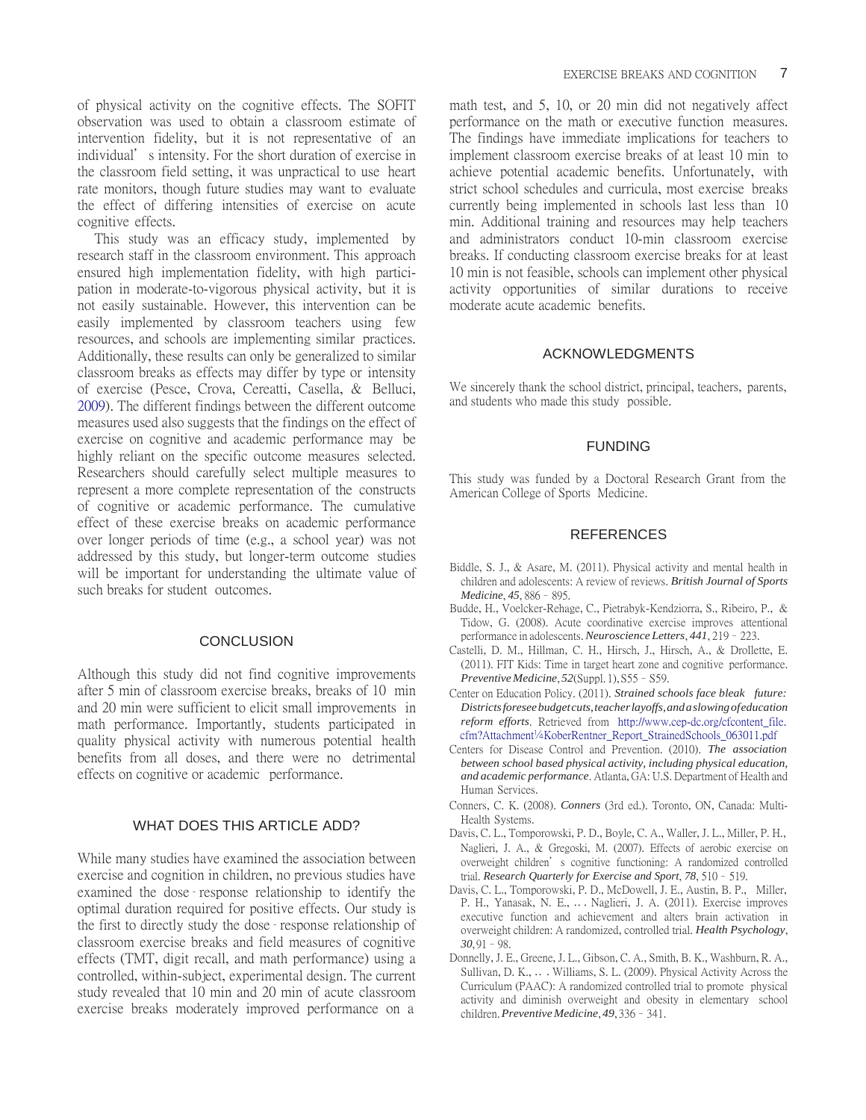of physical activity on the cognitive effects. The SOFIT observation was used to obtain a classroom estimate of intervention fidelity, but it is not representative of an individual' s intensity. For the short duration of exercise in the classroom field setting, it was unpractical to use heart rate monitors, though future studies may want to evaluate the effect of differing intensities of exercise on acute cognitive effects.

This study was an efficacy study, implemented by research staff in the classroom environment. This approach ensured high implementation fidelity, with high participation in moderate-to-vigorous physical activity, but it is not easily sustainable. However, this intervention can be easily implemented by classroom teachers using few resources, and schools are implementing similar practices. Additionally, these results can only be generalized to similar classroom breaks as effects may differ by type or intensity of exercise (Pesce, Crova, Cereatti, Casella, & Belluci, [2009\)](#page-7-25). The different findings between the different outcome measures used also suggests that the findings on the effect of exercise on cognitive and academic performance may be highly reliant on the specific outcome measures selected. Researchers should carefully select multiple measures to represent a more complete representation of the constructs of cognitive or academic performance. The cumulative effect of these exercise breaks on academic performance over longer periods of time (e.g., a school year) was not addressed by this study, but longer-term outcome studies will be important for understanding the ultimate value of such breaks for student outcomes.

#### **CONCLUSION**

Although this study did not find cognitive improvements after 5 min of classroom exercise breaks, breaks of 10 min and 20 min were sufficient to elicit small improvements in math performance. Importantly, students participated in quality physical activity with numerous potential health benefits from all doses, and there were no detrimental effects on cognitive or academic performance.

# WHAT DOES THIS ARTICLE ADD?

While many studies have examined the association between exercise and cognition in children, no previous studies have examined the dose– response relationship to identify the optimal duration required for positive effects. Our study is the first to directly study the dose– response relationship of classroom exercise breaks and field measures of cognitive effects (TMT, digit recall, and math performance) using a controlled, within-subject, experimental design. The current study revealed that 10 min and 20 min of acute classroom exercise breaks moderately improved performance on a

math test, and 5, 10, or 20 min did not negatively affect performance on the math or executive function measures. The findings have immediate implications for teachers to implement classroom exercise breaks of at least 10 min to achieve potential academic benefits. Unfortunately, with strict school schedules and curricula, most exercise breaks currently being implemented in schools last less than 10 min. Additional training and resources may help teachers and administrators conduct 10-min classroom exercise breaks. If conducting classroom exercise breaks for at least 10 min is not feasible, schools can implement other physical activity opportunities of similar durations to receive moderate acute academic benefits.

### ACKNOWLEDGMENTS

We sincerely thank the school district, principal, teachers, parents, and students who made this study possible.

#### FUNDING

This study was funded by a Doctoral Research Grant from the American College of Sports Medicine.

## REFERENCES

- <span id="page-6-1"></span>Biddle, S. J., & Asare, M. (2011). Physical activity and mental health in children and adolescents: A review of reviews. *British Journal of Sports Medicine*, *45*, 886–895.
- <span id="page-6-7"></span>Budde, H., Voelcker-Rehage, C., Pietrabyk-Kendziorra, S., Ribeiro, P., & Tidow, G. (2008). Acute coordinative exercise improves attentional performance in adolescents. *Neuroscience Letters*, *441*, 219–223.
- <span id="page-6-8"></span>Castelli, D. M., Hillman, C. H., Hirsch, J., Hirsch, A., & Drollette, E. (2011). FIT Kids: Time in target heart zone and cognitive performance. *Preventive Medicine*,  $52$ (Suppl. 1), S55 - S59.
- <span id="page-6-0"></span>Center on Education Policy. (2011). *Strained schools face bleak future: Districts foresee budget cuts, teacher layoffs, and a slowing of education reform efforts*. Retrieved from [http://www.cep-dc.org/cfcontent\\_file.](http://www.cep-dc.org/cfcontent_file.cfm?Attachment&equals%3BKoberRentner_Report_StrainedSchools_063011.pdf) [cfm?Attachment](http://www.cep-dc.org/cfcontent_file.cfm?Attachment&equals%3BKoberRentner_Report_StrainedSchools_063011.pdf)¼[KoberRentner\\_Report\\_StrainedSchools\\_063011.pdf](http://www.cep-dc.org/cfcontent_file.cfm?Attachment&equals%3BKoberRentner_Report_StrainedSchools_063011.pdf)
- <span id="page-6-2"></span>Centers for Disease Control and Prevention. (2010). *The association between school based physical activity, including physical education, and academic performance*. Atlanta, GA: U.S. Department of Health and Human Services.
- <span id="page-6-6"></span><span id="page-6-5"></span>Conners, C. K. (2008). *Conners* (3rd ed.). Toronto, ON, Canada: Multi-Health Systems.
- Davis, C. L., Tomporowski, P. D., Boyle, C. A., Waller, J. L., Miller, P. H., Naglieri, J. A., & Gregoski, M. (2007). Effects of aerobic exercise on overweight children's cognitive functioning: A randomized controlled trial. *Research Quarterly for Exercise and Sport*, *78*, 510–519.
- <span id="page-6-3"></span>Davis, C. L., Tomporowski, P. D., McDowell, J. E., Austin, B. P., Miller, P. H., Yanasak, N. E., .. . Naglieri, J. A. (2011). Exercise improves executive function and achievement and alters brain activation in overweight children: A randomized, controlled trial. *Health Psychology*, *30*, 91–98.
- <span id="page-6-4"></span>Donnelly, J. E., Greene, J. L., Gibson, C. A., Smith, B. K., Washburn, R. A., Sullivan, D. K., .. . Williams, S. L. (2009). Physical Activity Across the Curriculum (PAAC): A randomized controlled trial to promote physical activity and diminish overweight and obesity in elementary school children. *Preventive Medicine*, *49*, 336–341.